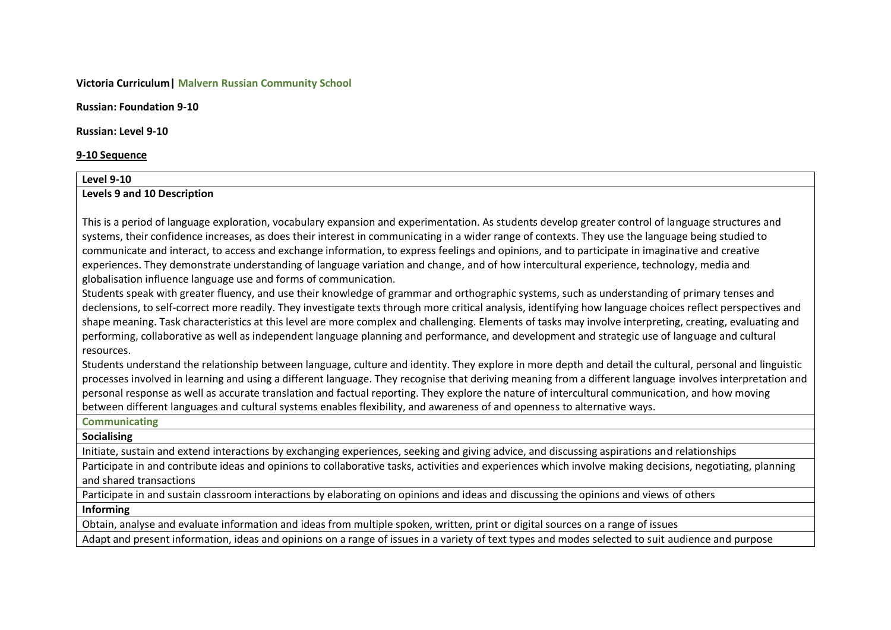# **Victoria Curriculum| Malvern Russian Community School**

**Russian: Foundation 9-10**

**Russian: Level 9-10**

#### **9-10 Sequence**

# **Level 9-10 Levels 9 and 10 Description**

This is a period of language exploration, vocabulary expansion and experimentation. As students develop greater control of language structures and systems, their confidence increases, as does their interest in communicating in a wider range of contexts. They use the language being studied to communicate and interact, to access and exchange information, to express feelings and opinions, and to participate in imaginative and creative experiences. They demonstrate understanding of language variation and change, and of how intercultural experience, technology, media and globalisation influence language use and forms of communication.

Students speak with greater fluency, and use their knowledge of grammar and orthographic systems, such as understanding of primary tenses and declensions, to self-correct more readily. They investigate texts through more critical analysis, identifying how language choices reflect perspectives and shape meaning. Task characteristics at this level are more complex and challenging. Elements of tasks may involve interpreting, creating, evaluating and performing, collaborative as well as independent language planning and performance, and development and strategic use of language and cultural resources.

Students understand the relationship between language, culture and identity. They explore in more depth and detail the cultural, personal and linguistic processes involved in learning and using a different language. They recognise that deriving meaning from a different language involves interpretation and personal response as well as accurate translation and factual reporting. They explore the nature of intercultural communication, and how moving between different languages and cultural systems enables flexibility, and awareness of and openness to alternative ways.

# **Communicating**

# **Socialising**

Initiate, sustain and extend interactions by exchanging experiences, seeking and giving advice, and discussing aspirations and relationships

Participate in and contribute ideas and opinions to collaborative tasks, activities and experiences which involve making decisions, negotiating, planning and shared transactions

Participate in and sustain classroom interactions by elaborating on opinions and ideas and discussing the opinions and views of others

# **Informing**

Obtain, analyse and evaluate information and ideas from multiple spoken, written, print or digital sources on a range of issues

Adapt and present information, ideas and opinions on a range of issues in a variety of text types and modes selected to suit audience and purpose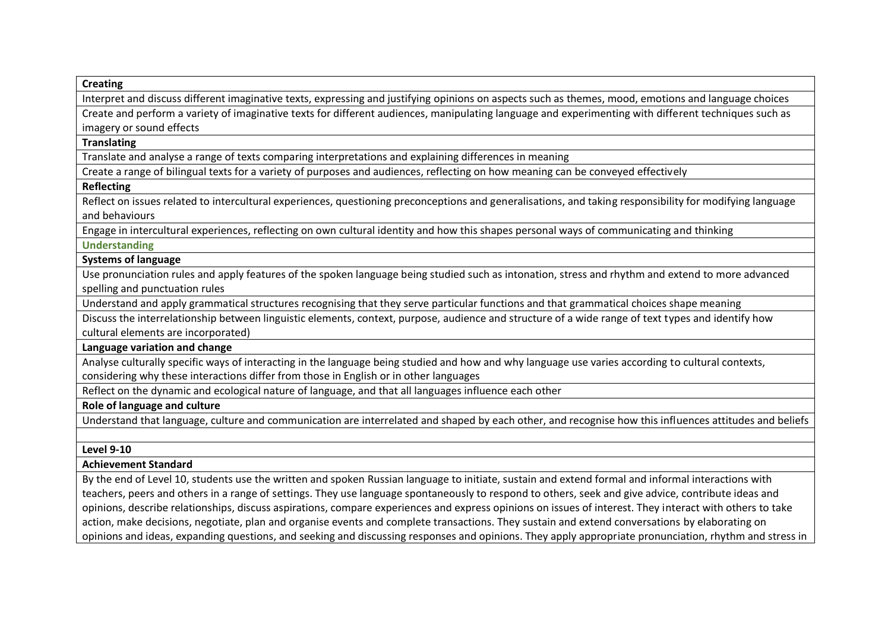# **Creating**

Interpret and discuss different imaginative texts, expressing and justifying opinions on aspects such as themes, mood, emotions and language choices

Create and perform a variety of imaginative texts for different audiences, manipulating language and experimenting with different techniques such as imagery or sound effects

#### **Translating**

Translate and analyse a range of texts comparing interpretations and explaining differences in meaning

Create a range of bilingual texts for a variety of purposes and audiences, reflecting on how meaning can be conveyed effectively

#### **Reflecting**

Reflect on issues related to intercultural experiences, questioning preconceptions and generalisations, and taking responsibility for modifying language and behaviours

Engage in intercultural experiences, reflecting on own cultural identity and how this shapes personal ways of communicating and thinking

#### **Understanding**

# **Systems of language**

Use pronunciation rules and apply features of the spoken language being studied such as intonation, stress and rhythm and extend to more advanced spelling and punctuation rules

Understand and apply grammatical structures recognising that they serve particular functions and that grammatical choices shape meaning

Discuss the interrelationship between linguistic elements, context, purpose, audience and structure of a wide range of text types and identify how cultural elements are incorporated)

# **Language variation and change**

Analyse culturally specific ways of interacting in the language being studied and how and why language use varies according to cultural contexts, considering why these interactions differ from those in English or in other languages

Reflect on the dynamic and ecological nature of language, and that all languages influence each other

# **Role of language and culture**

Understand that language, culture and communication are interrelated and shaped by each other, and recognise how this influences attitudes and beliefs

# **Level 9-10**

# **Achievement Standard**

By the end of Level 10, students use the written and spoken Russian language to initiate, sustain and extend formal and informal interactions with teachers, peers and others in a range of settings. They use language spontaneously to respond to others, seek and give advice, contribute ideas and opinions, describe relationships, discuss aspirations, compare experiences and express opinions on issues of interest. They interact with others to take action, make decisions, negotiate, plan and organise events and complete transactions. They sustain and extend conversations by elaborating on opinions and ideas, expanding questions, and seeking and discussing responses and opinions. They apply appropriate pronunciation, rhythm and stress in